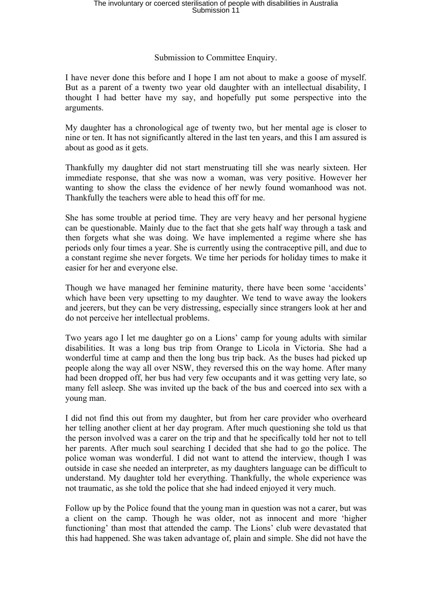## The involuntary or coerced sterilisation of people with disabilities in Australia Submission 11

## Submission to Committee Enquiry.

I have never done this before and I hope I am not about to make a goose of myself. But as a parent of a twenty two year old daughter with an intellectual disability, I thought I had better have my say, and hopefully put some perspective into the arguments.

My daughter has a chronological age of twenty two, but her mental age is closer to nine or ten. It has not significantly altered in the last ten years, and this I am assured is about as good as it gets.

Thankfully my daughter did not start menstruating till she was nearly sixteen. Her immediate response, that she was now a woman, was very positive. However her wanting to show the class the evidence of her newly found womanhood was not. Thankfully the teachers were able to head this off for me.

She has some trouble at period time. They are very heavy and her personal hygiene can be questionable. Mainly due to the fact that she gets half way through a task and then forgets what she was doing. We have implemented a regime where she has periods only four times a year. She is currently using the contraceptive pill, and due to a constant regime she never forgets. We time her periods for holiday times to make it easier for her and everyone else.

Though we have managed her feminine maturity, there have been some 'accidents' which have been very upsetting to my daughter. We tend to wave away the lookers and jeerers, but they can be very distressing, especially since strangers look at her and do not perceive her intellectual problems.

Two years ago I let me daughter go on a Lions' camp for young adults with similar disabilities. It was a long bus trip from Orange to Licola in Victoria. She had a wonderful time at camp and then the long bus trip back. As the buses had picked up people along the way all over NSW, they reversed this on the way home. After many had been dropped off, her bus had very few occupants and it was getting very late, so many fell asleep. She was invited up the back of the bus and coerced into sex with a young man.

I did not find this out from my daughter, but from her care provider who overheard her telling another client at her day program. After much questioning she told us that the person involved was a carer on the trip and that he specifically told her not to tell her parents. After much soul searching I decided that she had to go the police. The police woman was wonderful. I did not want to attend the interview, though I was outside in case she needed an interpreter, as my daughters language can be difficult to understand. My daughter told her everything. Thankfully, the whole experience was not traumatic, as she told the police that she had indeed enjoyed it very much.

Follow up by the Police found that the young man in question was not a carer, but was a client on the camp. Though he was older, not as innocent and more 'higher functioning' than most that attended the camp. The Lions' club were devastated that this had happened. She was taken advantage of, plain and simple. She did not have the